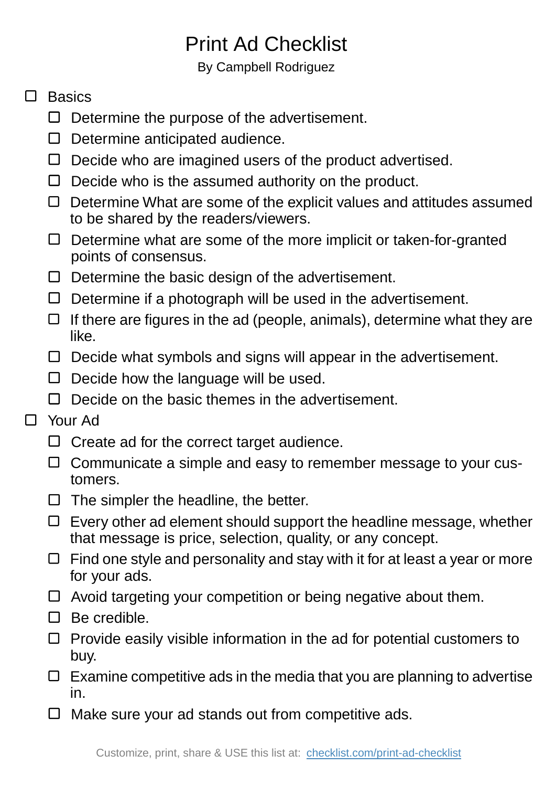## Print Ad Checklist

By Campbell Rodriguez

## $\Box$  Basics

- $\Box$  Determine the purpose of the advertisement.
- $\square$  Determine anticipated audience.
- $\Box$  Decide who are imagined users of the product advertised.
- $\Box$  Decide who is the assumed authority on the product.
- $\Box$  Determine What are some of the explicit values and attitudes assumed to be shared by the readers/viewers.
- Determine what are some of the more implicit or taken-for-granted points of consensus.
- $\Box$  Determine the basic design of the advertisement.
- $\Box$  Determine if a photograph will be used in the advertisement.
- $\Box$  If there are figures in the ad (people, animals), determine what they are like.
- $\Box$  Decide what symbols and signs will appear in the advertisement.
- $\Box$  Decide how the language will be used.
- $\Box$  Decide on the basic themes in the advertisement.
- Your Ad  $\Box$ 
	- $\Box$  Create ad for the correct target audience.
	- $\Box$  Communicate a simple and easy to remember message to your customers.
	- $\Box$  The simpler the headline, the better.
	- $\Box$  Every other ad element should support the headline message, whether that message is price, selection, quality, or any concept.
	- $\Box$  Find one style and personality and stay with it for at least a year or more for your ads.
	- $\Box$  Avoid targeting your competition or being negative about them.
	- $\Box$  Be credible.
	- $\Box$  Provide easily visible information in the ad for potential customers to buy.
	- $\Box$  Examine competitive ads in the media that you are planning to advertise in.
	- $\Box$  Make sure your ad stands out from competitive ads.